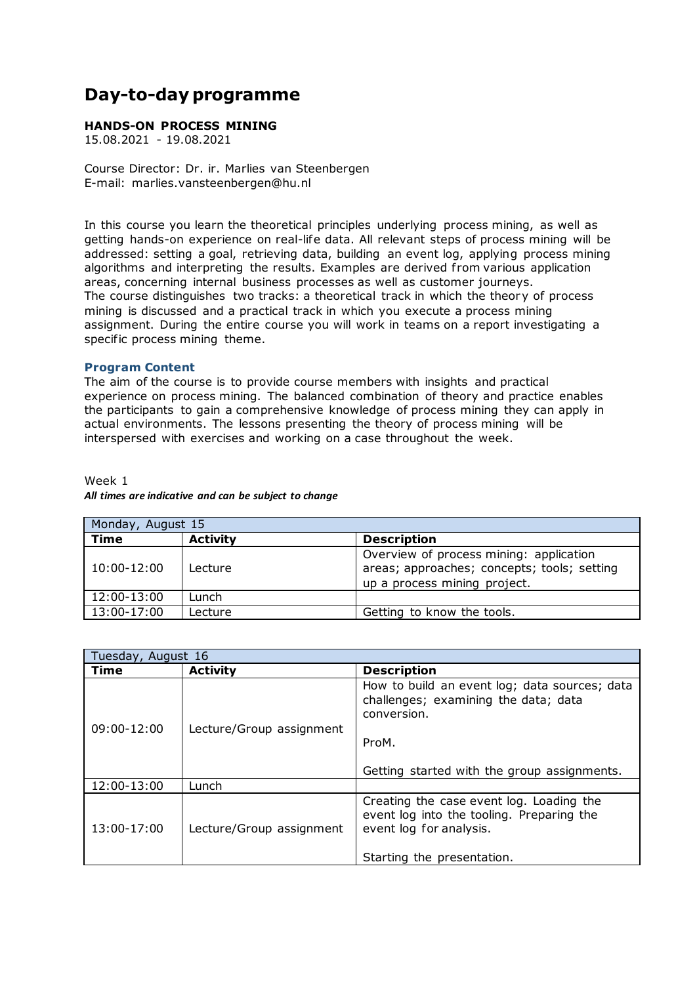## **Day-to-day programme**

## **HANDS-ON PROCESS MINING**

15.08.2021 - 19.08.2021

Course Director: Dr. ir. Marlies van Steenbergen E-mail: marlies.vansteenbergen@hu.nl

In this course you learn the theoretical principles underlying process mining, as well as getting hands-on experience on real-life data. All relevant steps of process mining will be addressed: setting a goal, retrieving data, building an event log, applying process mining algorithms and interpreting the results. Examples are derived from various application areas, concerning internal business processes as well as customer journeys. The course distinguishes two tracks: a theoretical track in which the theory of process mining is discussed and a practical track in which you execute a process mining assignment. During the entire course you will work in teams on a report investigating a specific process mining theme.

## **Program Content**

The aim of the course is to provide course members with insights and practical experience on process mining. The balanced combination of theory and practice enables the participants to gain a comprehensive knowledge of process mining they can apply in actual environments. The lessons presenting the theory of process mining will be interspersed with exercises and working on a case throughout the week.

## Week 1 *All times are indicative and can be subject to change*

| Monday, August 15 |                 |                                                                                                                        |  |  |
|-------------------|-----------------|------------------------------------------------------------------------------------------------------------------------|--|--|
| Time              | <b>Activity</b> | <b>Description</b>                                                                                                     |  |  |
| $10:00 - 12:00$   | Lecture         | Overview of process mining: application<br>areas; approaches; concepts; tools; setting<br>up a process mining project. |  |  |
| 12:00-13:00       | Lunch           |                                                                                                                        |  |  |
| 13:00-17:00       | Lecture         | Getting to know the tools.                                                                                             |  |  |

| Tuesday, August 16 |                          |                                                                                                                                                |
|--------------------|--------------------------|------------------------------------------------------------------------------------------------------------------------------------------------|
| Time               | <b>Activity</b>          | <b>Description</b>                                                                                                                             |
| $09:00 - 12:00$    | Lecture/Group assignment | How to build an event log; data sources; data<br>challenges; examining the data; data<br>conversion.                                           |
|                    |                          | ProM.<br>Getting started with the group assignments.                                                                                           |
| 12:00-13:00        | Lunch                    |                                                                                                                                                |
| 13:00-17:00        | Lecture/Group assignment | Creating the case event log. Loading the<br>event log into the tooling. Preparing the<br>event log for analysis.<br>Starting the presentation. |